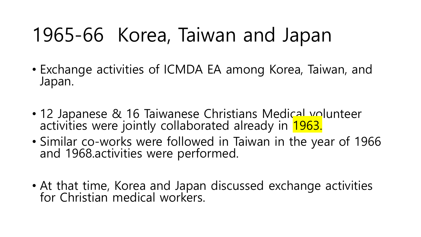# 1965-66 Korea, Taiwan and Japan

- Exchange activities of ICMDA EA among Korea, Taiwan, and Japan.
- 12 Japanese & 16 Taiwanese Christians Medical volunteer activities were jointly collaborated already in 1963.
- Similar co-works were followed in Taiwan in the year of 1966 and 1968.activities were performed.
- At that time, Korea and Japan discussed exchange activities for Christian medical workers.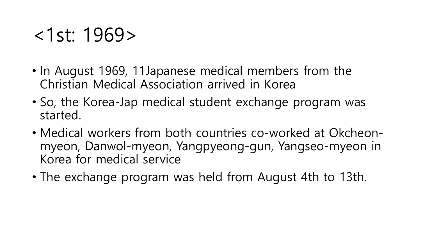## $\langle 1$ st: 1969>

- In August 1969, 11Japanese medical members from the Christian Medical Association arrived in Korea
- So, the Korea-Jap medical student exchange program was started.
- Medical workers from both countries co-worked at Okcheonmyeon, Danwol-myeon, Yangpyeong-gun, Yangseo-myeon in Korea for medical service
- The exchange program was held from August 4th to 13th.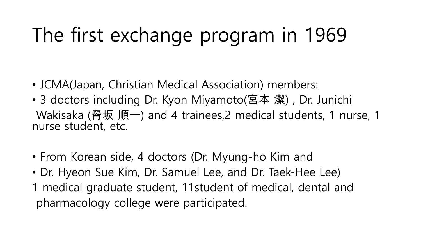# The first exchange program in 1969

- JCMA(Japan, Christian Medical Association) members:
- 3 doctors including Dr. Kyon Miyamoto(宮本 潔) , Dr. Junichi Wakisaka (脅坂 順一) and 4 trainees, 2 medical students, 1 nurse, 1 nurse student, etc.
- From Korean side, 4 doctors (Dr. Myung-ho Kim and
- Dr. Hyeon Sue Kim, Dr. Samuel Lee, and Dr. Taek-Hee Lee)
- 1 medical graduate student, 11student of medical, dental and pharmacology college were participated.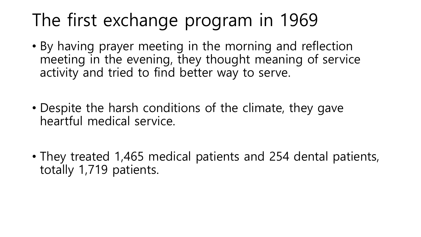## The first exchange program in 1969

- By having prayer meeting in the morning and reflection meeting in the evening, they thought meaning of service activity and tried to find better way to serve.
- Despite the harsh conditions of the climate, they gave heartful medical service.
- They treated 1,465 medical patients and 254 dental patients, totally 1,719 patients.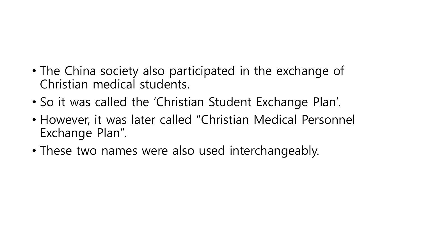#### • The China society also participated in the exchange of Christian medical students.

- So it was called the 'Christian Student Exchange Plan'.
- However, it was later called "Christian Medical Personnel Exchange Plan".
- These two names were also used interchangeably.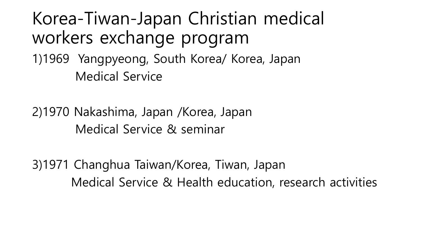Korea-Tiwan-Japan Christian medical workers exchange program 1)1969 Yangpyeong, South Korea/ Korea, Japan Medical Service

2)1970 Nakashima, Japan /Korea, Japan Medical Service & seminar

3)1971 Changhua Taiwan/Korea, Tiwan, Japan Medical Service & Health education, research activities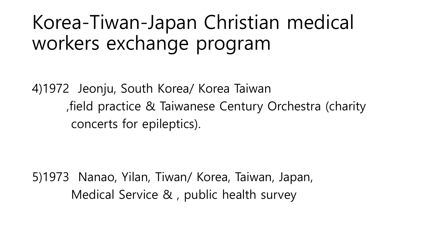# Korea-Tiwan-Japan Christian medical workers exchange program

4)1972 Jeonju, South Korea/ Korea Taiwan ,field practice & Taiwanese Century Orchestra (charity concerts for epileptics).

5)1973 Nanao, Yilan, Tiwan/ Korea, Taiwan, Japan, Medical Service & , public health survey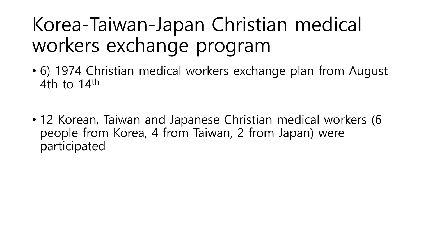# Korea-Taiwan-Japan Christian medical workers exchange program

- 6) 1974 Christian medical workers exchange plan from August 4th to  $14$ <sup>th</sup>
- 12 Korean, Taiwan and Japanese Christian medical workers (6 people from Korea, 4 from Taiwan, 2 from Japan) were participated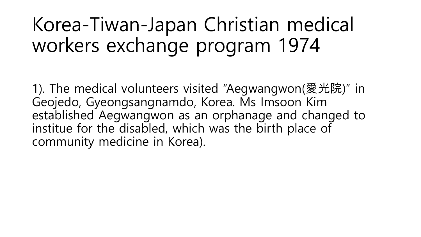# Korea-Tiwan-Japan Christian medical workers exchange program 1974

1). The medical volunteers visited "Aegwangwon(愛光院)" in Geojedo, Gyeongsangnamdo, Korea. Ms Imsoon Kim established Aegwangwon as an orphanage and changed to institue for the disabled, which was the birth place of community medicine in Korea).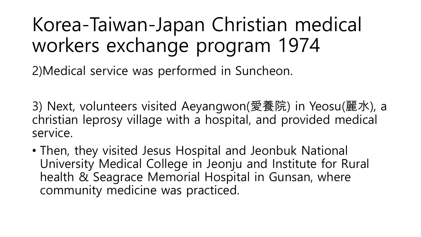# Korea-Taiwan-Japan Christian medical workers exchange program 1974

2)Medical service was performed in Suncheon.

3) Next, volunteers visited Aeyangwon(愛養院) in Yeosu(麗水), a christian leprosy village with a hospital, and provided medical service.

• Then, they visited Jesus Hospital and Jeonbuk National University Medical College in Jeonju and Institute for Rural health & Seagrace Memorial Hospital in Gunsan, where community medicine was practiced.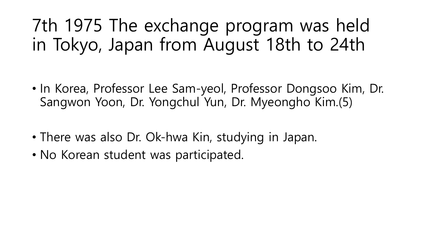### 7th 1975 The exchange program was held in Tokyo, Japan from August 18th to 24th

- In Korea, Professor Lee Sam-yeol, Professor Dongsoo Kim, Dr. Sangwon Yoon, Dr. Yongchul Yun, Dr. Myeongho Kim.(5)
- There was also Dr. Ok-hwa Kin, studying in Japan.
- No Korean student was participated.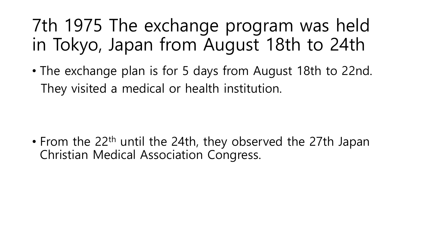### 7th 1975 The exchange program was held in Tokyo, Japan from August 18th to 24th

• The exchange plan is for 5 days from August 18th to 22nd. They visited a medical or health institution.

• From the 22<sup>th</sup> until the 24th, they observed the 27th Japan Christian Medical Association Congress.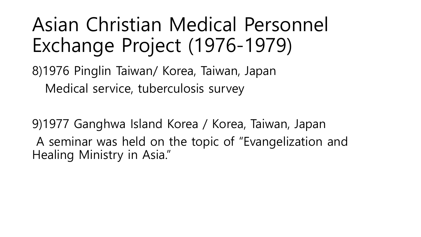# Asian Christian Medical Personnel Exchange Project (1976-1979)

8)1976 Pinglin Taiwan/ Korea, Taiwan, Japan Medical service, tuberculosis survey

9)1977 Ganghwa Island Korea / Korea, Taiwan, Japan A seminar was held on the topic of "Evangelization and Healing Ministry in Asia."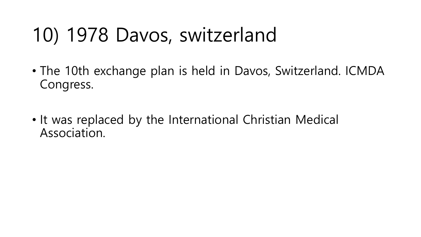# 10) 1978 Davos, switzerland

- The 10th exchange plan is held in Davos, Switzerland. ICMDA Congress.
- It was replaced by the International Christian Medical Association.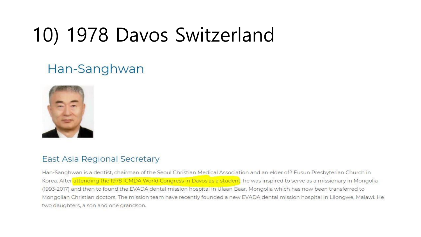# 10) 1978 Davos Switzerland

#### Han-Sanghwan



#### East Asia Regional Secretary

Han-Sanghwan is a dentist, chairman of the Seoul Christian Medical Association and an elder of? Eusun Presbyterian Church in Korea. After attending the 1978 ICMDA World Congress in Davos as a student, he was inspired to serve as a missionary in Mongolia (1993-2017) and then to found the EVADA dental mission hospital in Ulaan Baar, Mongolia which has now been transferred to Mongolian Christian doctors. The mission team have recently founded a new EVADA dental mission hospital in Lilongwe, Malawi. He two daughters, a son and one grandson.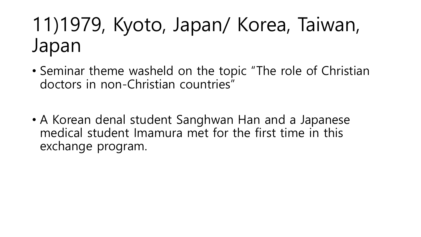# 11)1979, Kyoto, Japan/ Korea, Taiwan, Japan

- Seminar theme washeld on the topic "The role of Christian doctors in non-Christian countries"
- A Korean denal student Sanghwan Han and a Japanese medical student Imamura met for the first time in this exchange program.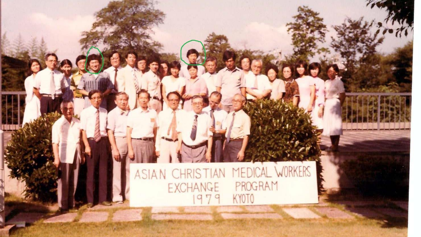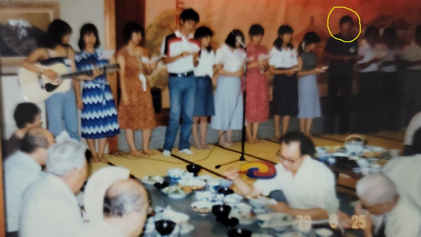